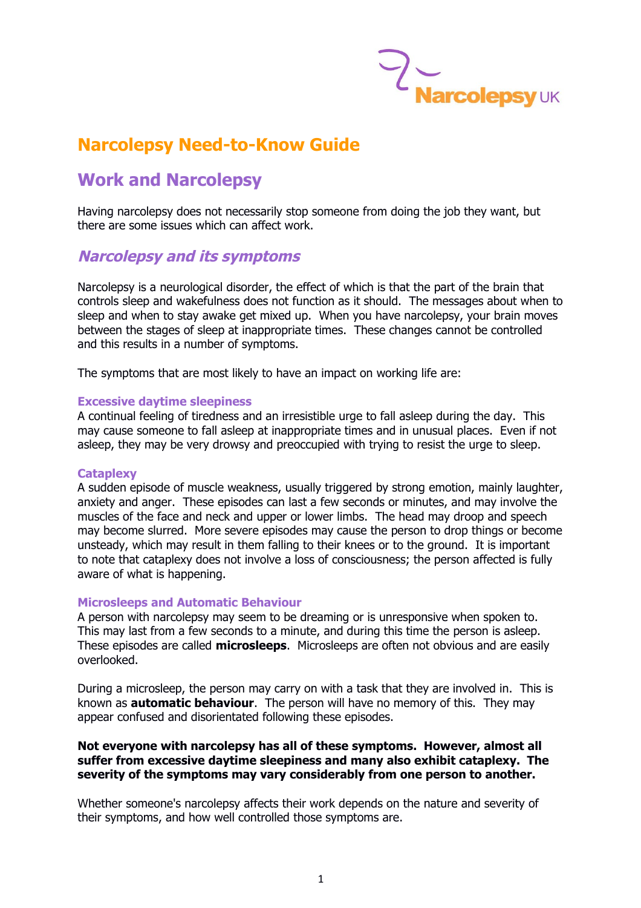

# **Narcolepsy Need-to-Know Guide**

# **Work and Narcolepsy**

Having narcolepsy does not necessarily stop someone from doing the job they want, but there are some issues which can affect work.

# **Narcolepsy and its symptoms**

Narcolepsy is a neurological disorder, the effect of which is that the part of the brain that controls sleep and wakefulness does not function as it should. The messages about when to sleep and when to stay awake get mixed up. When you have narcolepsy, your brain moves between the stages of sleep at inappropriate times. These changes cannot be controlled and this results in a number of symptoms.

The symptoms that are most likely to have an impact on working life are:

# **Excessive daytime sleepiness**

A continual feeling of tiredness and an irresistible urge to fall asleep during the day. This may cause someone to fall asleep at inappropriate times and in unusual places. Even if not asleep, they may be very drowsy and preoccupied with trying to resist the urge to sleep.

# **Cataplexy**

A sudden episode of muscle weakness, usually triggered by strong emotion, mainly laughter, anxiety and anger. These episodes can last a few seconds or minutes, and may involve the muscles of the face and neck and upper or lower limbs. The head may droop and speech may become slurred. More severe episodes may cause the person to drop things or become unsteady, which may result in them falling to their knees or to the ground. It is important to note that cataplexy does not involve a loss of consciousness; the person affected is fully aware of what is happening.

#### **Microsleeps and Automatic Behaviour**

A person with narcolepsy may seem to be dreaming or is unresponsive when spoken to. This may last from a few seconds to a minute, and during this time the person is asleep. These episodes are called **microsleeps**. Microsleeps are often not obvious and are easily overlooked.

During a microsleep, the person may carry on with a task that they are involved in. This is known as **automatic behaviour**. The person will have no memory of this. They may appear confused and disorientated following these episodes.

# **Not everyone with narcolepsy has all of these symptoms. However, almost all suffer from excessive daytime sleepiness and many also exhibit cataplexy. The severity of the symptoms may vary considerably from one person to another.**

Whether someone's narcolepsy affects their work depends on the nature and severity of their symptoms, and how well controlled those symptoms are.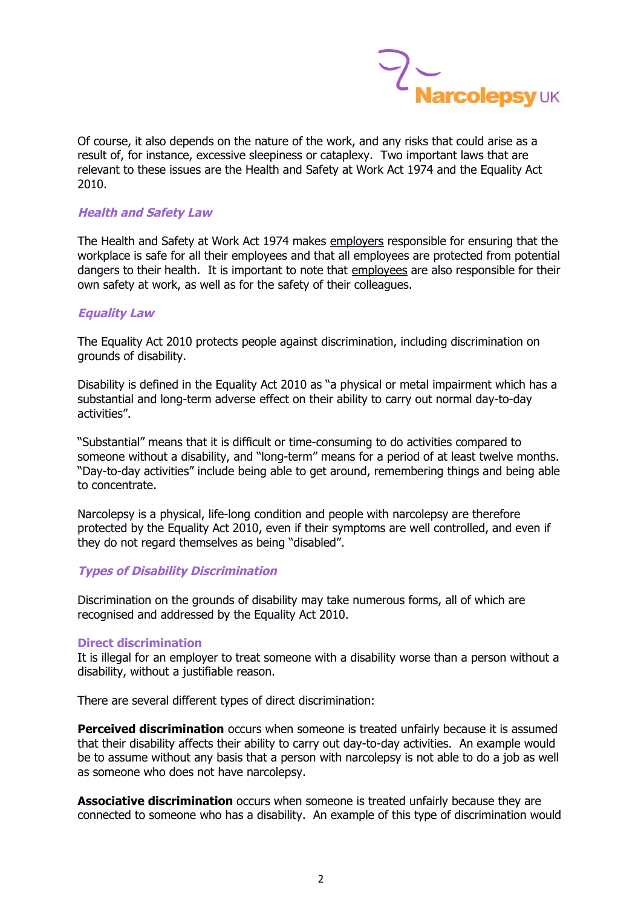

Of course, it also depends on the nature of the work, and any risks that could arise as a result of, for instance, excessive sleepiness or cataplexy. Two important laws that are relevant to these issues are the Health and Safety at Work Act 1974 and the Equality Act 2010.

# **Health and Safety Law**

The Health and Safety at Work Act 1974 makes employers responsible for ensuring that the workplace is safe for all their employees and that all employees are protected from potential dangers to their health. It is important to note that employees are also responsible for their own safety at work, as well as for the safety of their colleagues.

# **Equality Law**

The Equality Act 2010 protects people against discrimination, including discrimination on grounds of disability.

Disability is defined in the Equality Act 2010 as "a physical or metal impairment which has a substantial and long-term adverse effect on their ability to carry out normal day-to-day activities".

"Substantial" means that it is difficult or time-consuming to do activities compared to someone without a disability, and "long-term" means for a period of at least twelve months. "Day-to-day activities" include being able to get around, remembering things and being able to concentrate.

Narcolepsy is a physical, life-long condition and people with narcolepsy are therefore protected by the Equality Act 2010, even if their symptoms are well controlled, and even if they do not regard themselves as being "disabled".

# **Types of Disability Discrimination**

Discrimination on the grounds of disability may take numerous forms, all of which are recognised and addressed by the Equality Act 2010.

# **Direct discrimination**

It is illegal for an employer to treat someone with a disability worse than a person without a disability, without a justifiable reason.

There are several different types of direct discrimination:

**Perceived discrimination** occurs when someone is treated unfairly because it is assumed that their disability affects their ability to carry out day-to-day activities. An example would be to assume without any basis that a person with narcolepsy is not able to do a job as well as someone who does not have narcolepsy.

**Associative discrimination** occurs when someone is treated unfairly because they are connected to someone who has a disability. An example of this type of discrimination would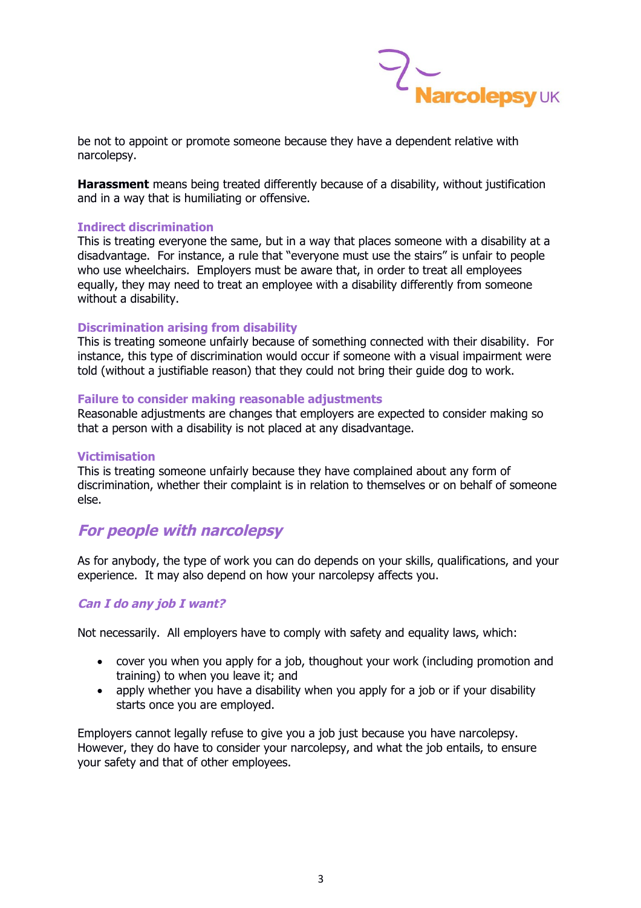

be not to appoint or promote someone because they have a dependent relative with narcolepsy.

**Harassment** means being treated differently because of a disability, without justification and in a way that is humiliating or offensive.

# **Indirect discrimination**

This is treating everyone the same, but in a way that places someone with a disability at a disadvantage. For instance, a rule that "everyone must use the stairs" is unfair to people who use wheelchairs. Employers must be aware that, in order to treat all employees equally, they may need to treat an employee with a disability differently from someone without a disability.

#### **Discrimination arising from disability**

This is treating someone unfairly because of something connected with their disability. For instance, this type of discrimination would occur if someone with a visual impairment were told (without a justifiable reason) that they could not bring their guide dog to work.

#### **Failure to consider making reasonable adjustments**

Reasonable adjustments are changes that employers are expected to consider making so that a person with a disability is not placed at any disadvantage.

#### **Victimisation**

This is treating someone unfairly because they have complained about any form of discrimination, whether their complaint is in relation to themselves or on behalf of someone else.

# **For people with narcolepsy**

As for anybody, the type of work you can do depends on your skills, qualifications, and your experience. It may also depend on how your narcolepsy affects you.

# **Can I do any job I want?**

Not necessarily. All employers have to comply with safety and equality laws, which:

- cover you when you apply for a job, thoughout your work (including promotion and training) to when you leave it; and
- apply whether you have a disability when you apply for a job or if your disability starts once you are employed.

Employers cannot legally refuse to give you a job just because you have narcolepsy. However, they do have to consider your narcolepsy, and what the job entails, to ensure your safety and that of other employees.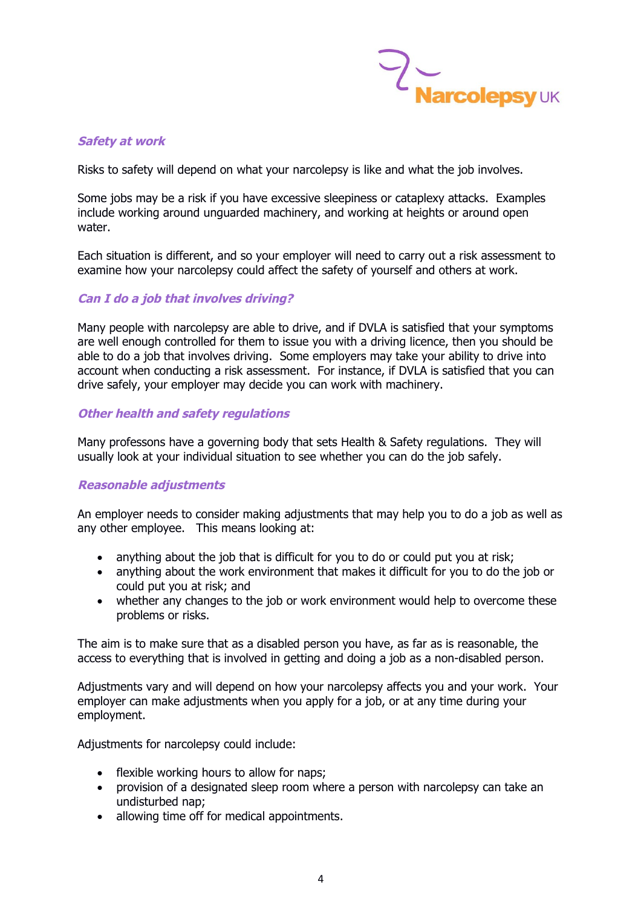

# **Safety at work**

Risks to safety will depend on what your narcolepsy is like and what the job involves.

Some jobs may be a risk if you have excessive sleepiness or cataplexy attacks. Examples include working around unguarded machinery, and working at heights or around open water.

Each situation is different, and so your employer will need to carry out a risk assessment to examine how your narcolepsy could affect the safety of yourself and others at work.

# **Can I do a job that involves driving?**

Many people with narcolepsy are able to drive, and if DVLA is satisfied that your symptoms are well enough controlled for them to issue you with a driving licence, then you should be able to do a job that involves driving. Some employers may take your ability to drive into account when conducting a risk assessment. For instance, if DVLA is satisfied that you can drive safely, your employer may decide you can work with machinery.

# **Other health and safety regulations**

Many professons have a governing body that sets Health & Safety regulations. They will usually look at your individual situation to see whether you can do the job safely.

# **Reasonable adjustments**

An employer needs to consider making adjustments that may help you to do a job as well as any other employee. This means looking at:

- anything about the job that is difficult for you to do or could put you at risk;
- anything about the work environment that makes it difficult for you to do the job or could put you at risk; and
- whether any changes to the job or work environment would help to overcome these problems or risks.

The aim is to make sure that as a disabled person you have, as far as is reasonable, the access to everything that is involved in getting and doing a job as a non-disabled person.

Adjustments vary and will depend on how your narcolepsy affects you and your work. Your employer can make adjustments when you apply for a job, or at any time during your employment.

Adjustments for narcolepsy could include:

- flexible working hours to allow for naps;
- provision of a designated sleep room where a person with narcolepsy can take an undisturbed nap;
- allowing time off for medical appointments.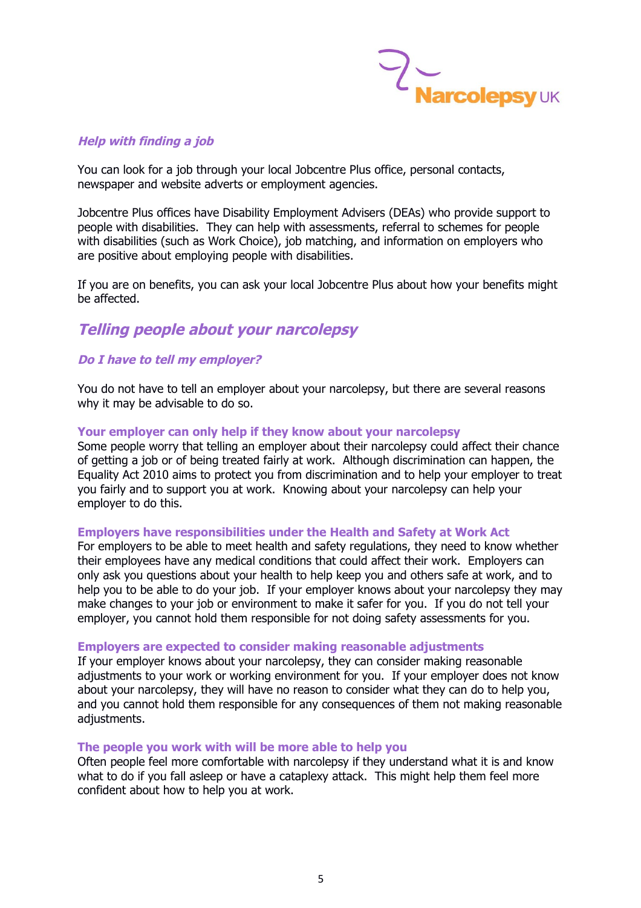

# **Help with finding a job**

You can look for a job through your local Jobcentre Plus office, personal contacts, newspaper and website adverts or employment agencies.

Jobcentre Plus offices have Disability Employment Advisers (DEAs) who provide support to people with disabilities. They can help with assessments, referral to schemes for people with disabilities (such as Work Choice), job matching, and information on employers who are positive about employing people with disabilities.

If you are on benefits, you can ask your local Jobcentre Plus about how your benefits might be affected.

# **Telling people about your narcolepsy**

# **Do I have to tell my employer?**

You do not have to tell an employer about your narcolepsy, but there are several reasons why it may be advisable to do so.

#### **Your employer can only help if they know about your narcolepsy**

Some people worry that telling an employer about their narcolepsy could affect their chance of getting a job or of being treated fairly at work. Although discrimination can happen, the Equality Act 2010 aims to protect you from discrimination and to help your employer to treat you fairly and to support you at work. Knowing about your narcolepsy can help your employer to do this.

#### **Employers have responsibilities under the Health and Safety at Work Act**

For employers to be able to meet health and safety regulations, they need to know whether their employees have any medical conditions that could affect their work. Employers can only ask you questions about your health to help keep you and others safe at work, and to help you to be able to do your job. If your employer knows about your narcolepsy they may make changes to your job or environment to make it safer for you. If you do not tell your employer, you cannot hold them responsible for not doing safety assessments for you.

#### **Employers are expected to consider making reasonable adjustments**

If your employer knows about your narcolepsy, they can consider making reasonable adjustments to your work or working environment for you. If your employer does not know about your narcolepsy, they will have no reason to consider what they can do to help you, and you cannot hold them responsible for any consequences of them not making reasonable adjustments.

#### **The people you work with will be more able to help you**

Often people feel more comfortable with narcolepsy if they understand what it is and know what to do if you fall asleep or have a cataplexy attack. This might help them feel more confident about how to help you at work.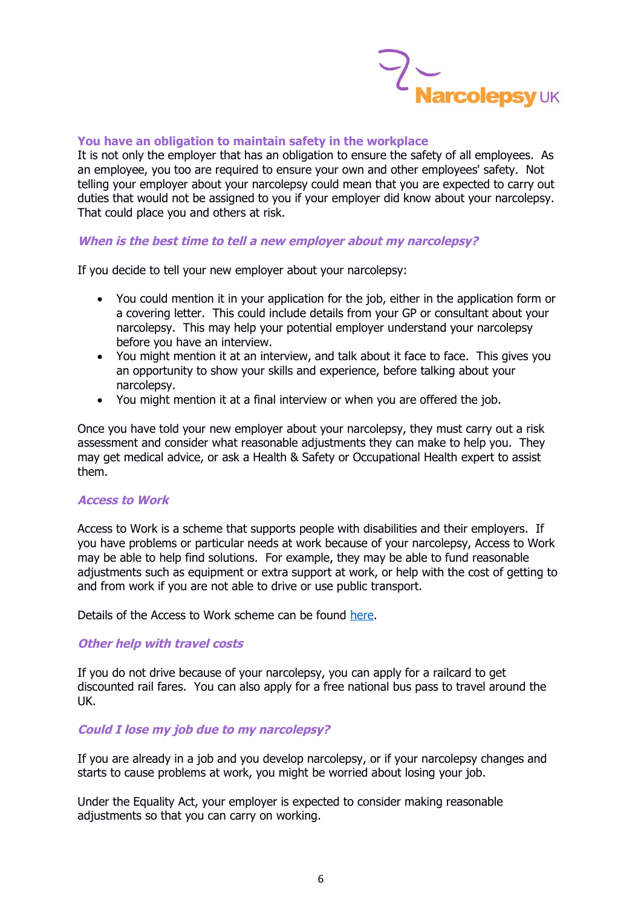

# **You have an obligation to maintain safety in the workplace**

It is not only the employer that has an obligation to ensure the safety of all employees. As an employee, you too are required to ensure your own and other employees' safety. Not telling your employer about your narcolepsy could mean that you are expected to carry out duties that would not be assigned to you if your employer did know about your narcolepsy. That could place you and others at risk.

# **When is the best time to tell a new employer about my narcolepsy?**

If you decide to tell your new employer about your narcolepsy:

- You could mention it in your application for the job, either in the application form or a covering letter. This could include details from your GP or consultant about your narcolepsy. This may help your potential employer understand your narcolepsy before you have an interview.
- You might mention it at an interview, and talk about it face to face. This gives you an opportunity to show your skills and experience, before talking about your narcolepsy.
- You might mention it at a final interview or when you are offered the job.

Once you have told your new employer about your narcolepsy, they must carry out a risk assessment and consider what reasonable adjustments they can make to help you. They may get medical advice, or ask a Health & Safety or Occupational Health expert to assist them.

#### **Access to Work**

Access to Work is a scheme that supports people with disabilities and their employers. If you have problems or particular needs at work because of your narcolepsy, Access to Work may be able to help find solutions. For example, they may be able to fund reasonable adjustments such as equipment or extra support at work, or help with the cost of getting to and from work if you are not able to drive or use public transport.

Details of the Access to Work scheme can be found [here.](https://www.gov.uk/access-to-work)

# **Other help with travel costs**

If you do not drive because of your narcolepsy, you can apply for a railcard to get discounted rail fares. You can also apply for a free national bus pass to travel around the UK.

# **Could I lose my job due to my narcolepsy?**

If you are already in a job and you develop narcolepsy, or if your narcolepsy changes and starts to cause problems at work, you might be worried about losing your job.

Under the Equality Act, your employer is expected to consider making reasonable adjustments so that you can carry on working.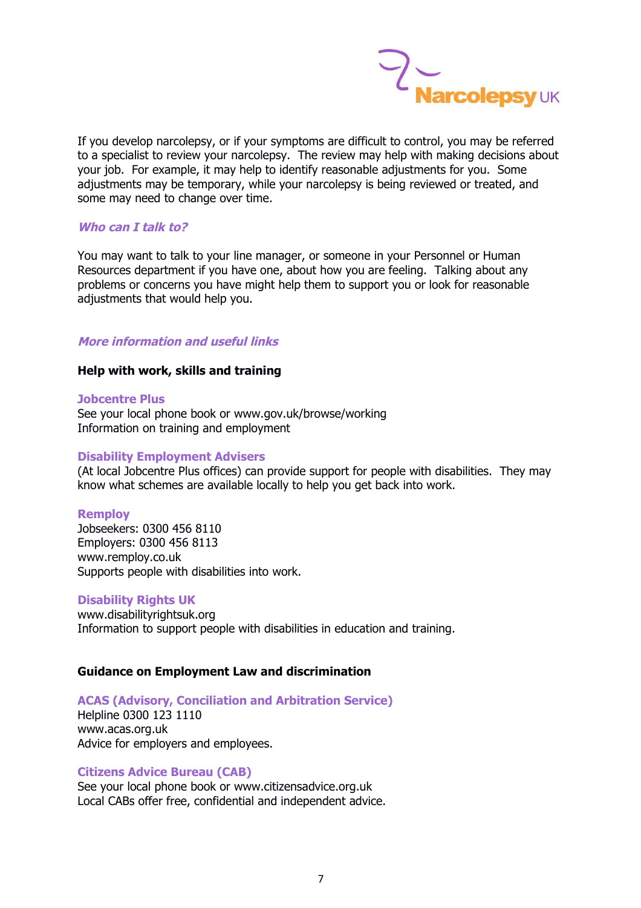

If you develop narcolepsy, or if your symptoms are difficult to control, you may be referred to a specialist to review your narcolepsy. The review may help with making decisions about your job. For example, it may help to identify reasonable adjustments for you. Some adjustments may be temporary, while your narcolepsy is being reviewed or treated, and some may need to change over time.

# **Who can I talk to?**

You may want to talk to your line manager, or someone in your Personnel or Human Resources department if you have one, about how you are feeling. Talking about any problems or concerns you have might help them to support you or look for reasonable adjustments that would help you.

# **More information and useful links**

# **Help with work, skills and training**

#### **Jobcentre Plus**

See your local phone book or www.gov.uk/browse/working Information on training and employment

#### **Disability Employment Advisers**

(At local Jobcentre Plus offices) can provide support for people with disabilities. They may know what schemes are available locally to help you get back into work.

#### **Remploy**

Jobseekers: 0300 456 8110 Employers: 0300 456 8113 www.remploy.co.uk Supports people with disabilities into work.

# **Disability Rights UK**

www.disabilityrightsuk.org Information to support people with disabilities in education and training.

# **Guidance on Employment Law and discrimination**

# **ACAS (Advisory, Conciliation and Arbitration Service)**

Helpline 0300 123 1110 www.acas.org.uk Advice for employers and employees.

# **Citizens Advice Bureau (CAB)**

See your local phone book or www.citizensadvice.org.uk Local CABs offer free, confidential and independent advice.